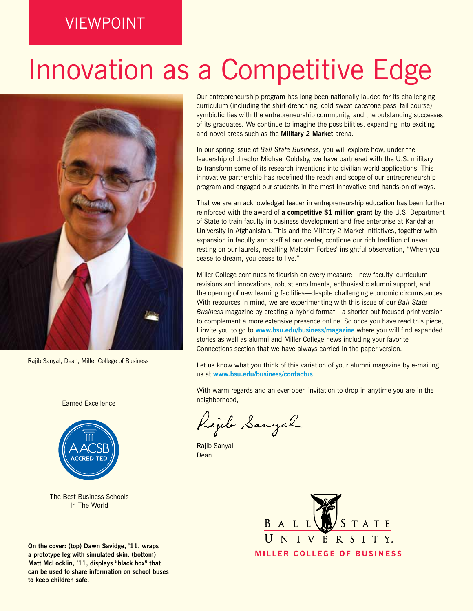## VIEWPOINT

## Innovation as a Competitive Edge



Rajib Sanyal, Dean, Miller College of Business

#### Earned Excellence



The Best Business Schools In The World

**On the cover: (top) Dawn Savidge, '11, wraps a prototype leg with simulated skin. (bottom) Matt McLocklin, '11, displays "black box" that can be used to share information on school buses to keep children safe.**

Our entrepreneurship program has long been nationally lauded for its challenging curriculum (including the shirt-drenching, cold sweat capstone pass–fail course), symbiotic ties with the entrepreneurship community, and the outstanding successes of its graduates. We continue to imagine the possibilities, expanding into exciting and novel areas such as the **Military 2 Market** arena.

In our spring issue of *Ball State Business,* you will explore how, under the leadership of director Michael Goldsby, we have partnered with the U.S. military to transform some of its research inventions into civilian world applications. This innovative partnership has redefined the reach and scope of our entrepreneurship program and engaged our students in the most innovative and hands-on of ways.

That we are an acknowledged leader in entrepreneurship education has been further reinforced with the award of **a competitive \$1 million grant** by the U.S. Department of State to train faculty in business development and free enterprise at Kandahar University in Afghanistan. This and the Military 2 Market initiatives, together with expansion in faculty and staff at our center, continue our rich tradition of never resting on our laurels, recalling Malcolm Forbes' insightful observation, "When you cease to dream, you cease to live."

Miller College continues to flourish on every measure—new faculty, curriculum revisions and innovations, robust enrollments, enthusiastic alumni support, and the opening of new learning facilities—despite challenging economic circumstances. With resources in mind, we are experimenting with this issue of our *Ball State Business* magazine by creating a hybrid format—a shorter but focused print version to complement a more extensive presence online. So once you have read this piece, I invite you to go to **www.bsu.edu/business/magazine** where you will find expanded stories as well as alumni and Miller College news including your favorite Connections section that we have always carried in the paper version.

Let us know what you think of this variation of your alumni magazine by e-mailing us at **www.bsu.edu/business/contactus**.

With warm regards and an ever-open invitation to drop in anytime you are in the neighborhood,

Rajib Sanyal

Rajib Sanyal Dean

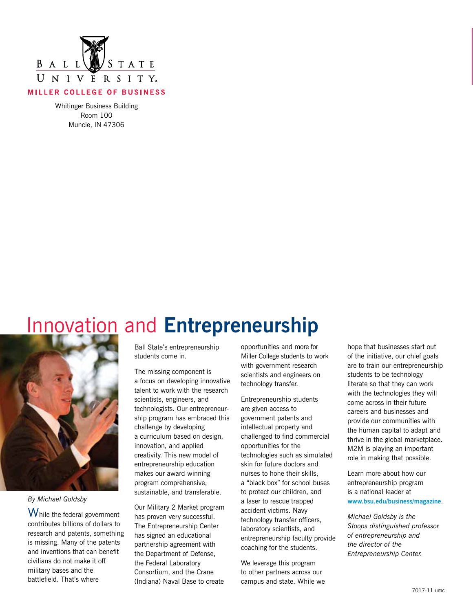

Whitinger Business Building Room 100 Muncie, IN 47306

## Innovation and **Entrepreneurship**



*By Michael Goldsby* 

While the federal government contributes billions of dollars to research and patents, something is missing. Many of the patents and inventions that can benefit civilians do not make it off military bases and the battlefield. That's where

Ball State's entrepreneurship students come in.

The missing component is a focus on developing innovative talent to work with the research scientists, engineers, and technologists. Our entrepreneurship program has embraced this challenge by developing a curriculum based on design, innovation, and applied creativity. This new model of entrepreneurship education makes our award-winning program comprehensive, sustainable, and transferable.

Our Military 2 Market program has proven very successful. The Entrepreneurship Center has signed an educational partnership agreement with the Department of Defense, the Federal Laboratory Consortium, and the Crane (Indiana) Naval Base to create

opportunities and more for Miller College students to work with government research scientists and engineers on technology transfer.

Entrepreneurship students are given access to government patents and intellectual property and challenged to find commercial opportunities for the technologies such as simulated skin for future doctors and nurses to hone their skills, a "black box" for school buses to protect our children, and a laser to rescue trapped accident victims. Navy technology transfer officers, laboratory scientists, and entrepreneurship faculty provide coaching for the students.

We leverage this program to other partners across our campus and state. While we

hope that businesses start out of the initiative, our chief goals are to train our entrepreneurship students to be technology literate so that they can work with the technologies they will come across in their future careers and businesses and provide our communities with the human capital to adapt and thrive in the global marketplace. M2M is playing an important role in making that possible.

Learn more about how our entrepreneurship program is a national leader at **www.bsu.edu/business/magazine**.

*Michael Goldsby is the Stoops distinguished professor of entrepreneurship and the director of the Entrepreneurship Center.*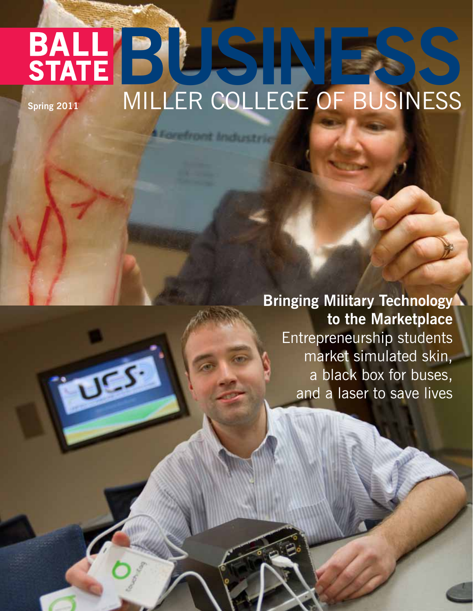## **BALLES RESSINESS STATE** MILLER COLLEGE OF BUSINESS **Spring 2011**

**A Forefront Industrie** 

**DES** 

**Bringing Military Technology to the Marketplace** Entrepreneurship students market simulated skin, a black box for buses, and a laser to save lives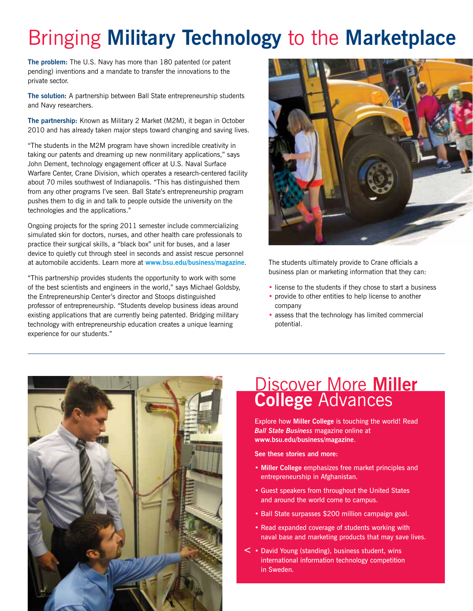## Bringing **Military Technology** to the **Marketplace**

**The problem:** The U.S. Navy has more than 180 patented (or patent pending) inventions and a mandate to transfer the innovations to the private sector.

**The solution:** A partnership between Ball State entrepreneurship students and Navy researchers.

**The partnership:** Known as Military 2 Market (M2M), it began in October 2010 and has already taken major steps toward changing and saving lives.

"The students in the M2M program have shown incredible creativity in taking our patents and dreaming up new nonmilitary applications," says John Dement, technology engagement officer at U.S. Naval Surface Warfare Center, Crane Division, which operates a research-centered facility about 70 miles southwest of Indianapolis. "This has distinguished them from any other programs I've seen. Ball State's entrepreneurship program pushes them to dig in and talk to people outside the university on the technologies and the applications."

Ongoing projects for the spring 2011 semester include commercializing simulated skin for doctors, nurses, and other health care professionals to practice their surgical skills, a "black box" unit for buses, and a laser device to quietly cut through steel in seconds and assist rescue personnel at automobile accidents. Learn more at **www.bsu.edu/business/magazine**.

"This partnership provides students the opportunity to work with some of the best scientists and engineers in the world," says Michael Goldsby, the Entrepreneurship Center's director and Stoops distinguished professor of entrepreneurship. "Students develop business ideas around existing applications that are currently being patented. Bridging military technology with entrepreneurship education creates a unique learning experience for our students."



The students ultimately provide to Crane officials a business plan or marketing information that they can:

- license to the students if they chose to start a business
- provide to other entities to help license to another company
- assess that the technology has limited commercial potential.



### Discover More **Miller College** Advances

Explore how **Miller College** is touching the world! Read *Ball State Business* magazine online at **www.bsu.edu/business/magazine**.

**See these stories and more:**

- **Miller College** emphasizes free market principles and entrepreneurship in Afghanistan.
- Guest speakers from throughout the United States and around the world come to campus.
- Ball State surpasses \$200 million campaign goal.
- Read expanded coverage of students working with naval base and marketing products that may save lives.
- David Young (standing), business student, wins **<** international information technology competition in Sweden.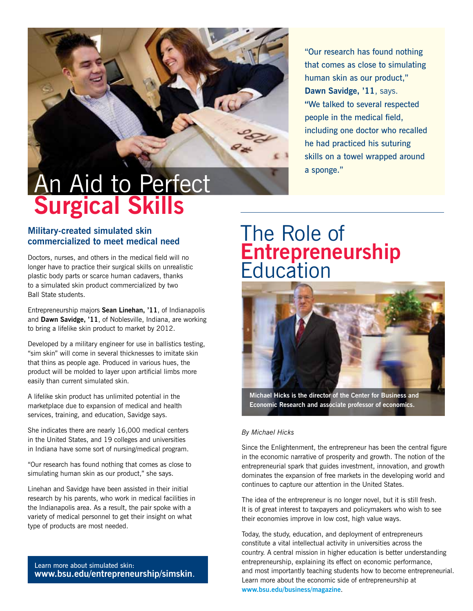

"Our research has found nothing that comes as close to simulating human skin as our product," **Dawn Savidge, '11**, says. **"**We talked to several respected people in the medical field, including one doctor who recalled he had practiced his suturing skills on a towel wrapped around a sponge."

#### **Military-created simulated skin commercialized to meet medical need**

Doctors, nurses, and others in the medical field will no longer have to practice their surgical skills on unrealistic plastic body parts or scarce human cadavers, thanks to a simulated skin product commercialized by two Ball State students.

Entrepreneurship majors **Sean Linehan, '11**, of Indianapolis and **Dawn Savidge, '11**, of Noblesville, Indiana, are working to bring a lifelike skin product to market by 2012.

Developed by a military engineer for use in ballistics testing, "sim skin" will come in several thicknesses to imitate skin that thins as people age. Produced in various hues, the product will be molded to layer upon artificial limbs more easily than current simulated skin.

A lifelike skin product has unlimited potential in the marketplace due to expansion of medical and health services, training, and education, Savidge says.

She indicates there are nearly 16,000 medical centers in the United States, and 19 colleges and universities in Indiana have some sort of nursing/medical program.

"Our research has found nothing that comes as close to simulating human skin as our product," she says.

Linehan and Savidge have been assisted in their initial research by his parents, who work in medical facilities in the Indianapolis area. As a result, the pair spoke with a variety of medical personnel to get their insight on what type of products are most needed.

Learn more about simulated skin: **www.bsu.edu/entrepreneurship/simskin**.

## The Role of **Entrepreneurship Education**



**Michael Hicks is the director of the Center for Business and Economic Research and associate professor of economics.**

#### *By Michael Hicks*

Since the Enlightenment, the entrepreneur has been the central figure in the economic narrative of prosperity and growth. The notion of the entrepreneurial spark that guides investment, innovation, and growth dominates the expansion of free markets in the developing world and continues to capture our attention in the United States.

The idea of the entrepreneur is no longer novel, but it is still fresh. It is of great interest to taxpayers and policymakers who wish to see their economies improve in low cost, high value ways.

Today, the study, education, and deployment of entrepreneurs constitute a vital intellectual activity in universities across the country. A central mission in higher education is better understanding entrepreneurship, explaining its effect on economic performance, and most importantly teaching students how to become entrepreneurial. Learn more about the economic side of entrepreneurship at **www.bsu.edu/business/magazine**.